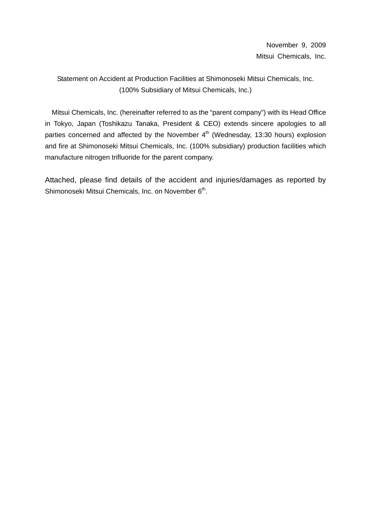Statement on Accident at Production Facilities at Shimonoseki Mitsui Chemicals, Inc. (100% Subsidiary of Mitsui Chemicals, Inc.)

Mitsui Chemicals, Inc. (hereinafter referred to as the "parent company") with its Head Office in Tokyo, Japan (Toshikazu Tanaka, President & CEO) extends sincere apologies to all parties concerned and affected by the November 4<sup>th</sup> (Wednesday, 13:30 hours) explosion and fire at Shimonoseki Mitsui Chemicals, Inc. (100% subsidiary) production facilities which manufacture nitrogen trifluoride for the parent company.

Attached, please find details of the accident and injuries/damages as reported by Shimonoseki Mitsui Chemicals, Inc. on November 6<sup>th</sup>.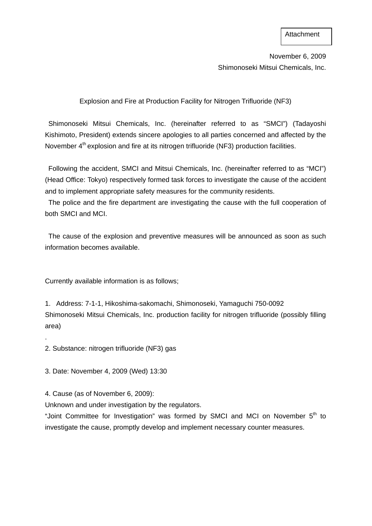November 6, 2009 Shimonoseki Mitsui Chemicals, Inc.

Explosion and Fire at Production Facility for Nitrogen Trifluoride (NF3)

Shimonoseki Mitsui Chemicals, Inc. (hereinafter referred to as "SMCI") (Tadayoshi Kishimoto, President) extends sincere apologies to all parties concerned and affected by the November 4<sup>th</sup> explosion and fire at its nitrogen trifluoride (NF3) production facilities.

Following the accident, SMCI and Mitsui Chemicals, Inc. (hereinafter referred to as "MCI") (Head Office: Tokyo) respectively formed task forces to investigate the cause of the accident and to implement appropriate safety measures for the community residents.

The police and the fire department are investigating the cause with the full cooperation of both SMCI and MCI.

The cause of the explosion and preventive measures will be announced as soon as such information becomes available.

Currently available information is as follows;

1. Address: 7-1-1, Hikoshima-sakomachi, Shimonoseki, Yamaguchi 750-0092 Shimonoseki Mitsui Chemicals, Inc. production facility for nitrogen trifluoride (possibly filling area)

2. Substance: nitrogen trifluoride (NF3) gas

3. Date: November 4, 2009 (Wed) 13:30

4. Cause (as of November 6, 2009):

.

Unknown and under investigation by the regulators.

"Joint Committee for Investigation" was formed by SMCI and MCI on November 5<sup>th</sup> to investigate the cause, promptly develop and implement necessary counter measures.